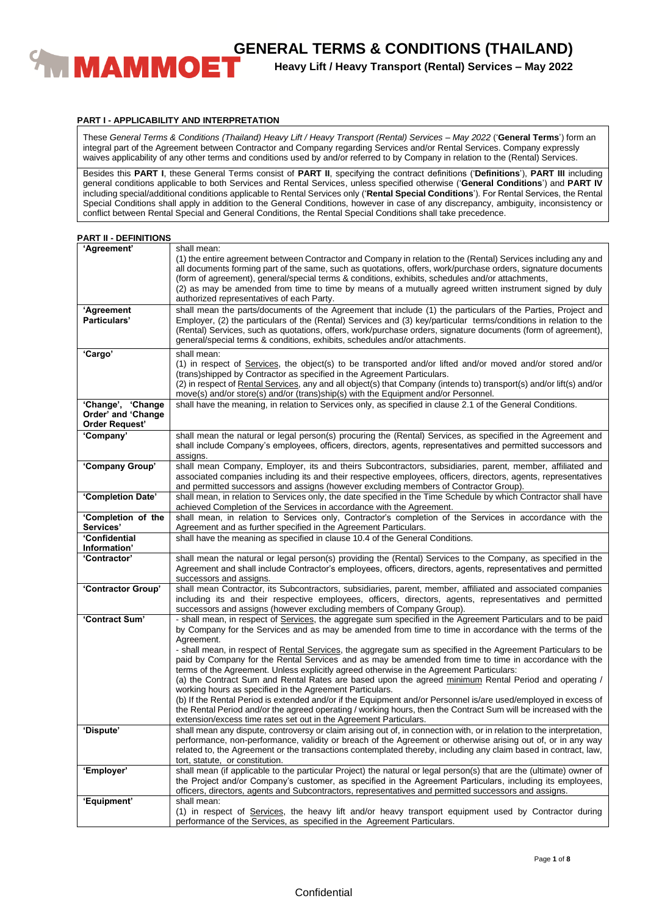

**Heavy Lift / Heavy Transport (Rental) Services – May 2022**

# **PART I - APPLICABILITY AND INTERPRETATION**

These *General Terms & Conditions (Thailand) Heavy Lift / Heavy Transport (Rental) Services – May 2022* ('**General Terms**') form an integral part of the Agreement between Contractor and Company regarding Services and/or Rental Services. Company expressly waives applicability of any other terms and conditions used by and/or referred to by Company in relation to the (Rental) Services.

Besides this **PART I**, these General Terms consist of **PART II**, specifying the contract definitions ('**Definitions**'), **PART III** including general conditions applicable to both Services and Rental Services, unless specified otherwise ('**General Conditions**') and **PART IV** including special/additional conditions applicable to Rental Services only ('**Rental Special Conditions**'). For Rental Services, the Rental Special Conditions shall apply in addition to the General Conditions, however in case of any discrepancy, ambiguity, inconsistency or conflict between Rental Special and General Conditions, the Rental Special Conditions shall take precedence.

| <b>PART II - DEFINITIONS</b> |  |  |  |  |
|------------------------------|--|--|--|--|
|------------------------------|--|--|--|--|

| 'Agreement'                                                      | shall mean:<br>(1) the entire agreement between Contractor and Company in relation to the (Rental) Services including any and<br>all documents forming part of the same, such as quotations, offers, work/purchase orders, signature documents<br>(form of agreement), general/special terms & conditions, exhibits, schedules and/or attachments,<br>(2) as may be amended from time to time by means of a mutually agreed written instrument signed by duly<br>authorized representatives of each Party. |
|------------------------------------------------------------------|------------------------------------------------------------------------------------------------------------------------------------------------------------------------------------------------------------------------------------------------------------------------------------------------------------------------------------------------------------------------------------------------------------------------------------------------------------------------------------------------------------|
| 'Agreement<br>Particulars'                                       | shall mean the parts/documents of the Agreement that include (1) the particulars of the Parties, Project and<br>Employer, (2) the particulars of the (Rental) Services and (3) key/particular terms/conditions in relation to the<br>(Rental) Services, such as quotations, offers, work/purchase orders, signature documents (form of agreement),<br>general/special terms & conditions, exhibits, schedules and/or attachments.                                                                          |
| 'Cargo'                                                          | shall mean:<br>(1) in respect of Services, the object(s) to be transported and/or lifted and/or moved and/or stored and/or<br>(trans) shipped by Contractor as specified in the Agreement Particulars.<br>(2) in respect of Rental Services, any and all object(s) that Company (intends to) transport(s) and/or lift(s) and/or<br>move(s) and/or store(s) and/or (trans)ship(s) with the Equipment and/or Personnel.                                                                                      |
| 'Change', 'Change<br>Order' and 'Change<br><b>Order Request'</b> | shall have the meaning, in relation to Services only, as specified in clause 2.1 of the General Conditions.                                                                                                                                                                                                                                                                                                                                                                                                |
| 'Company'                                                        | shall mean the natural or legal person(s) procuring the (Rental) Services, as specified in the Agreement and<br>shall include Company's employees, officers, directors, agents, representatives and permitted successors and<br>assigns.                                                                                                                                                                                                                                                                   |
| 'Company Group'                                                  | shall mean Company, Employer, its and theirs Subcontractors, subsidiaries, parent, member, affiliated and<br>associated companies including its and their respective employees, officers, directors, agents, representatives<br>and permitted successors and assigns (however excluding members of Contractor Group).                                                                                                                                                                                      |
| 'Completion Date'                                                | shall mean, in relation to Services only, the date specified in the Time Schedule by which Contractor shall have<br>achieved Completion of the Services in accordance with the Agreement.                                                                                                                                                                                                                                                                                                                  |
| 'Completion of the<br>Services'                                  | shall mean, in relation to Services only, Contractor's completion of the Services in accordance with the<br>Agreement and as further specified in the Agreement Particulars.                                                                                                                                                                                                                                                                                                                               |
| 'Confidential                                                    | shall have the meaning as specified in clause 10.4 of the General Conditions.                                                                                                                                                                                                                                                                                                                                                                                                                              |
| Information'<br>'Contractor'                                     | shall mean the natural or legal person(s) providing the (Rental) Services to the Company, as specified in the                                                                                                                                                                                                                                                                                                                                                                                              |
|                                                                  | Agreement and shall include Contractor's employees, officers, directors, agents, representatives and permitted<br>successors and assigns.                                                                                                                                                                                                                                                                                                                                                                  |
| 'Contractor Group'                                               | shall mean Contractor, its Subcontractors, subsidiaries, parent, member, affiliated and associated companies<br>including its and their respective employees, officers, directors, agents, representatives and permitted<br>successors and assigns (however excluding members of Company Group).                                                                                                                                                                                                           |
| 'Contract Sum'                                                   | - shall mean, in respect of Services, the aggregate sum specified in the Agreement Particulars and to be paid<br>by Company for the Services and as may be amended from time to time in accordance with the terms of the<br>Agreement.<br>- shall mean, in respect of Rental Services, the aggregate sum as specified in the Agreement Particulars to be                                                                                                                                                   |
|                                                                  | paid by Company for the Rental Services and as may be amended from time to time in accordance with the<br>terms of the Agreement. Unless explicitly agreed otherwise in the Agreement Particulars:<br>(a) the Contract Sum and Rental Rates are based upon the agreed minimum Rental Period and operating /<br>working hours as specified in the Agreement Particulars.                                                                                                                                    |
|                                                                  | (b) If the Rental Period is extended and/or if the Equipment and/or Personnel is/are used/employed in excess of<br>the Rental Period and/or the agreed operating / working hours, then the Contract Sum will be increased with the<br>extension/excess time rates set out in the Agreement Particulars.                                                                                                                                                                                                    |
| 'Dispute'                                                        | shall mean any dispute, controversy or claim arising out of, in connection with, or in relation to the interpretation,<br>performance, non-performance, validity or breach of the Agreement or otherwise arising out of, or in any way<br>related to, the Agreement or the transactions contemplated thereby, including any claim based in contract, law,<br>tort, statute, or constitution.                                                                                                               |
| 'Employer'                                                       | shall mean (if applicable to the particular Project) the natural or legal person(s) that are the (ultimate) owner of<br>the Project and/or Company's customer, as specified in the Agreement Particulars, including its employees,<br>officers, directors, agents and Subcontractors, representatives and permitted successors and assigns.                                                                                                                                                                |
| 'Equipment'                                                      | shall mean:                                                                                                                                                                                                                                                                                                                                                                                                                                                                                                |
|                                                                  | (1) in respect of Services, the heavy lift and/or heavy transport equipment used by Contractor during<br>performance of the Services, as specified in the Agreement Particulars.                                                                                                                                                                                                                                                                                                                           |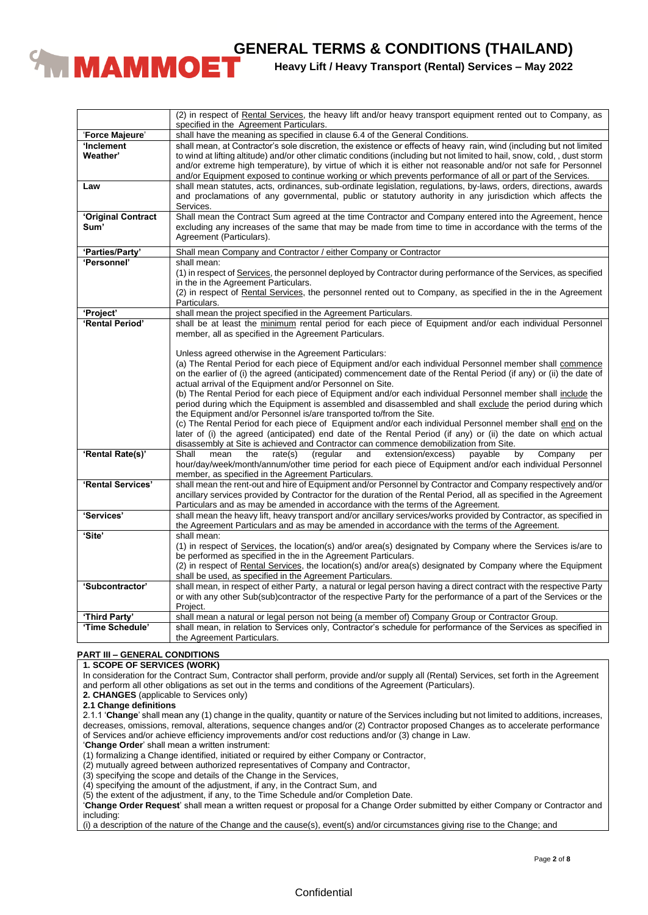

**Heavy Lift / Heavy Transport (Rental) Services – May 2022**

|                                  | (2) in respect of Rental Services, the heavy lift and/or heavy transport equipment rented out to Company, as<br>specified in the Agreement Particulars.                                                               |
|----------------------------------|-----------------------------------------------------------------------------------------------------------------------------------------------------------------------------------------------------------------------|
| 'Force Majeure'                  | shall have the meaning as specified in clause 6.4 of the General Conditions.                                                                                                                                          |
| 'Inclement                       | shall mean, at Contractor's sole discretion, the existence or effects of heavy rain, wind (including but not limited                                                                                                  |
| Weather'                         | to wind at lifting altitude) and/or other climatic conditions (including but not limited to hail, snow, cold,, dust storm                                                                                             |
|                                  | and/or extreme high temperature), by virtue of which it is either not reasonable and/or not safe for Personnel                                                                                                        |
|                                  | and/or Equipment exposed to continue working or which prevents performance of all or part of the Services.                                                                                                            |
| Law                              | shall mean statutes, acts, ordinances, sub-ordinate legislation, regulations, by-laws, orders, directions, awards                                                                                                     |
|                                  | and proclamations of any governmental, public or statutory authority in any jurisdiction which affects the                                                                                                            |
|                                  | Services.                                                                                                                                                                                                             |
| 'Original Contract<br>Sum'       | Shall mean the Contract Sum agreed at the time Contractor and Company entered into the Agreement, hence<br>excluding any increases of the same that may be made from time to time in accordance with the terms of the |
|                                  | Agreement (Particulars).                                                                                                                                                                                              |
|                                  |                                                                                                                                                                                                                       |
| 'Parties/Party'                  | Shall mean Company and Contractor / either Company or Contractor                                                                                                                                                      |
| 'Personnel'                      | shall mean:                                                                                                                                                                                                           |
|                                  | (1) in respect of Services, the personnel deployed by Contractor during performance of the Services, as specified                                                                                                     |
|                                  | in the in the Agreement Particulars.                                                                                                                                                                                  |
|                                  | (2) in respect of Rental Services, the personnel rented out to Company, as specified in the in the Agreement<br>Particulars.                                                                                          |
| 'Project'                        |                                                                                                                                                                                                                       |
| 'Rental Period'                  | shall mean the project specified in the Agreement Particulars.<br>shall be at least the minimum rental period for each piece of Equipment and/or each individual Personnel                                            |
|                                  | member, all as specified in the Agreement Particulars.                                                                                                                                                                |
|                                  |                                                                                                                                                                                                                       |
|                                  | Unless agreed otherwise in the Agreement Particulars:                                                                                                                                                                 |
|                                  | (a) The Rental Period for each piece of Equipment and/or each individual Personnel member shall commence                                                                                                              |
|                                  | on the earlier of (i) the agreed (anticipated) commencement date of the Rental Period (if any) or (ii) the date of                                                                                                    |
|                                  | actual arrival of the Equipment and/or Personnel on Site.                                                                                                                                                             |
|                                  | (b) The Rental Period for each piece of Equipment and/or each individual Personnel member shall include the                                                                                                           |
|                                  | period during which the Equipment is assembled and disassembled and shall exclude the period during which                                                                                                             |
|                                  | the Equipment and/or Personnel is/are transported to/from the Site.                                                                                                                                                   |
|                                  | (c) The Rental Period for each piece of Equipment and/or each individual Personnel member shall end on the                                                                                                            |
|                                  | later of (i) the agreed (anticipated) end date of the Rental Period (if any) or (ii) the date on which actual                                                                                                         |
| 'Rental Rate(s)'                 | disassembly at Site is achieved and Contractor can commence demobilization from Site.<br>Shall<br>by<br>Company<br>mean<br>the<br>rate(s)<br>(regular<br>extension/excess)<br>payable<br>and                          |
|                                  | per<br>hour/day/week/month/annum/other time period for each piece of Equipment and/or each individual Personnel                                                                                                       |
|                                  | member, as specified in the Agreement Particulars.                                                                                                                                                                    |
| 'Rental Services'                | shall mean the rent-out and hire of Equipment and/or Personnel by Contractor and Company respectively and/or                                                                                                          |
|                                  | ancillary services provided by Contractor for the duration of the Rental Period, all as specified in the Agreement                                                                                                    |
|                                  | Particulars and as may be amended in accordance with the terms of the Agreement.                                                                                                                                      |
| 'Services'                       | shall mean the heavy lift, heavy transport and/or ancillary services/works provided by Contractor, as specified in                                                                                                    |
|                                  | the Agreement Particulars and as may be amended in accordance with the terms of the Agreement.                                                                                                                        |
| 'Site'                           | shall mean:                                                                                                                                                                                                           |
|                                  | (1) in respect of Services, the location(s) and/or area(s) designated by Company where the Services is/are to                                                                                                         |
|                                  | be performed as specified in the in the Agreement Particulars.                                                                                                                                                        |
|                                  | (2) in respect of Rental Services, the location(s) and/or area(s) designated by Company where the Equipment                                                                                                           |
|                                  | shall be used, as specified in the Agreement Particulars.                                                                                                                                                             |
| 'Subcontractor'                  | shall mean, in respect of either Party, a natural or legal person having a direct contract with the respective Party                                                                                                  |
|                                  | or with any other Sub(sub)contractor of the respective Party for the performance of a part of the Services or the                                                                                                     |
|                                  | Project.                                                                                                                                                                                                              |
| 'Third Party'<br>'Time Schedule' | shall mean a natural or legal person not being (a member of) Company Group or Contractor Group.<br>shall mean, in relation to Services only, Contractor's schedule for performance of the Services as specified in    |
|                                  | the Agreement Particulars.                                                                                                                                                                                            |
|                                  |                                                                                                                                                                                                                       |

# **PART III – GENERAL CONDITIONS**

# **1. SCOPE OF SERVICES (WORK)**

In consideration for the Contract Sum, Contractor shall perform, provide and/or supply all (Rental) Services, set forth in the Agreement and perform all other obligations as set out in the terms and conditions of the Agreement (Particulars).

**2. CHANGES** (applicable to Services only)

**2.1 Change definitions**

2.1.1 '**Change**' shall mean any (1) change in the quality, quantity or nature of the Services including but not limited to additions, increases, decreases, omissions, removal, alterations, sequence changes and/or (2) Contractor proposed Changes as to accelerate performance of Services and/or achieve efficiency improvements and/or cost reductions and/or (3) change in Law.

'**Change Order**' shall mean a written instrument:

(1) formalizing a Change identified, initiated or required by either Company or Contractor,

(2) mutually agreed between authorized representatives of Company and Contractor,

(3) specifying the scope and details of the Change in the Services,

(4) specifying the amount of the adjustment, if any, in the Contract Sum, and

(5) the extent of the adjustment, if any, to the Time Schedule and/or Completion Date.

'**Change Order Request**' shall mean a written request or proposal for a Change Order submitted by either Company or Contractor and including:

(i) a description of the nature of the Change and the cause(s), event(s) and/or circumstances giving rise to the Change; and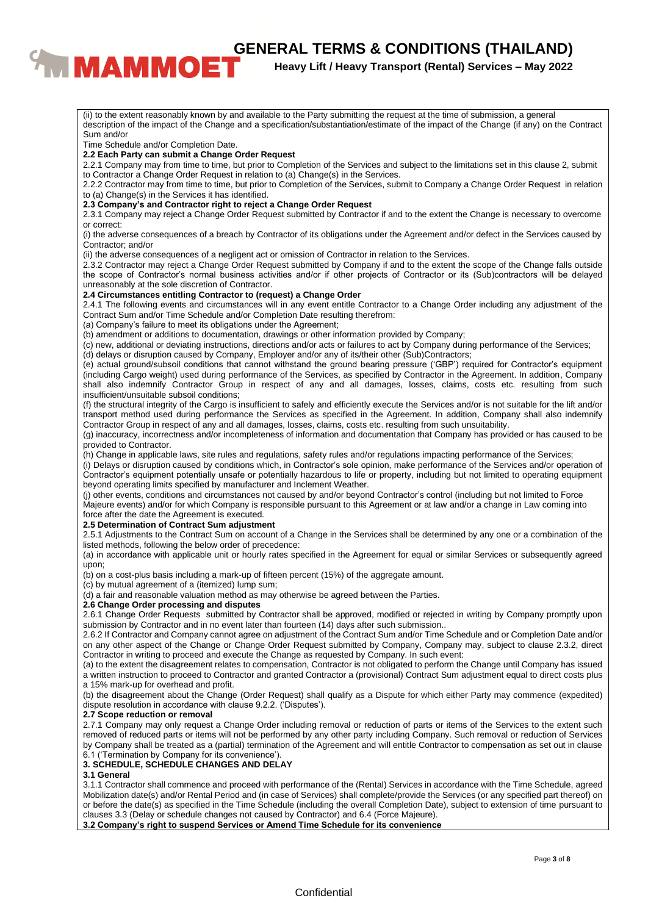# **CENERAL TERMS & CONDITIONS (THAILAND)**<br><sup>Heavy Lift / Heavy Transport (Rental) Services – May 2022</sup>

# **Heavy Lift / Heavy Transport (Rental) Services – May 2022**

(ii) to the extent reasonably known by and available to the Party submitting the request at the time of submission, a general description of the impact of the Change and a specification/substantiation/estimate of the impact of the Change (if any) on the Contract Sum and/or Time Schedule and/or Completion Date. **2.2 Each Party can submit a Change Order Request** 2.2.1 Company may from time to time, but prior to Completion of the Services and subject to the limitations set in this clause 2, submit to Contractor a Change Order Request in relation to (a) Change(s) in the Services. 2.2.2 Contractor may from time to time, but prior to Completion of the Services, submit to Company a Change Order Request in relation to (a) Change(s) in the Services it has identified. **2.3 Company's and Contractor right to reject a Change Order Request** 2.3.1 Company may reject a Change Order Request submitted by Contractor if and to the extent the Change is necessary to overcome or correct: (i) the adverse consequences of a breach by Contractor of its obligations under the Agreement and/or defect in the Services caused by Contractor; and/or (ii) the adverse consequences of a negligent act or omission of Contractor in relation to the Services. 2.3.2 Contractor may reject a Change Order Request submitted by Company if and to the extent the scope of the Change falls outside the scope of Contractor's normal business activities and/or if other projects of Contractor or its (Sub)contractors will be delayed unreasonably at the sole discretion of Contractor. **2.4 Circumstances entitling Contractor to (request) a Change Order** 2.4.1 The following events and circumstances will in any event entitle Contractor to a Change Order including any adjustment of the Contract Sum and/or Time Schedule and/or Completion Date resulting therefrom: (a) Company's failure to meet its obligations under the Agreement; (b) amendment or additions to documentation, drawings or other information provided by Company; (c) new, additional or deviating instructions, directions and/or acts or failures to act by Company during performance of the Services; (d) delays or disruption caused by Company, Employer and/or any of its/their other (Sub)Contractors; (e) actual ground/subsoil conditions that cannot withstand the ground bearing pressure ('GBP') required for Contractor's equipment (including Cargo weight) used during performance of the Services, as specified by Contractor in the Agreement. In addition, Company shall also indemnify Contractor Group in respect of any and all damages, losses, claims, costs etc. resulting from such insufficient/unsuitable subsoil conditions; (f) the structural integrity of the Cargo is insufficient to safely and efficiently execute the Services and/or is not suitable for the lift and/or transport method used during performance the Services as specified in the Agreement. In addition, Company shall also indemnify Contractor Group in respect of any and all damages, losses, claims, costs etc. resulting from such unsuitability. (g) inaccuracy, incorrectness and/or incompleteness of information and documentation that Company has provided or has caused to be provided to Contractor. (h) Change in applicable laws, site rules and regulations, safety rules and/or regulations impacting performance of the Services; (i) Delays or disruption caused by conditions which, in Contractor's sole opinion, make performance of the Services and/or operation of Contractor's equipment potentially unsafe or potentially hazardous to life or property, including but not limited to operating equipment beyond operating limits specified by manufacturer and Inclement Weather. (j) other events, conditions and circumstances not caused by and/or beyond Contractor's control (including but not limited to Force Majeure events) and/or for which Company is responsible pursuant to this Agreement or at law and/or a change in Law coming into force after the date the Agreement is executed. **2.5 Determination of Contract Sum adjustment** 2.5.1 Adjustments to the Contract Sum on account of a Change in the Services shall be determined by any one or a combination of the listed methods, following the below order of precedence: (a) in accordance with applicable unit or hourly rates specified in the Agreement for equal or similar Services or subsequently agreed upon; (b) on a cost-plus basis including a mark-up of fifteen percent (15%) of the aggregate amount. (c) by mutual agreement of a (itemized) lump sum; (d) a fair and reasonable valuation method as may otherwise be agreed between the Parties. **2.6 Change Order processing and disputes** 2.6.1 Change Order Requests submitted by Contractor shall be approved, modified or rejected in writing by Company promptly upon submission by Contractor and in no event later than fourteen (14) days after such submission.. 2.6.2 If Contractor and Company cannot agree on adjustment of the Contract Sum and/or Time Schedule and or Completion Date and/or on any other aspect of the Change or Change Order Request submitted by Company, Company may, subject to clause 2.3.2, direct Contractor in writing to proceed and execute the Change as requested by Company. In such event: (a) to the extent the disagreement relates to compensation, Contractor is not obligated to perform the Change until Company has issued a written instruction to proceed to Contractor and granted Contractor a (provisional) Contract Sum adjustment equal to direct costs plus a 15% mark-up for overhead and profit. (b) the disagreement about the Change (Order Request) shall qualify as a Dispute for which either Party may commence (expedited) dispute resolution in accordance with clause 9.2.2. ('Disputes'). **2.7 Scope reduction or removal** 2.7.1 Company may only request a Change Order including removal or reduction of parts or items of the Services to the extent such removed of reduced parts or items will not be performed by any other party including Company. Such removal or reduction of Services by Company shall be treated as a (partial) termination of the Agreement and will entitle Contractor to compensation as set out in clause 6.1 ('Termination by Company for its convenience'). **3. SCHEDULE, SCHEDULE CHANGES AND DELAY 3.1 General** 3.1.1 Contractor shall commence and proceed with performance of the (Rental) Services in accordance with the Time Schedule, agreed Mobilization date(s) and/or Rental Period and (in case of Services) shall complete/provide the Services (or any specified part thereof) on or before the date(s) as specified in the Time Schedule (including the overall Completion Date), subject to extension of time pursuant to clauses 3.3 (Delay or schedule changes not caused by Contractor) and 6.4 (Force Majeure). **3.2 Company's right to suspend Services or Amend Time Schedule for its convenience**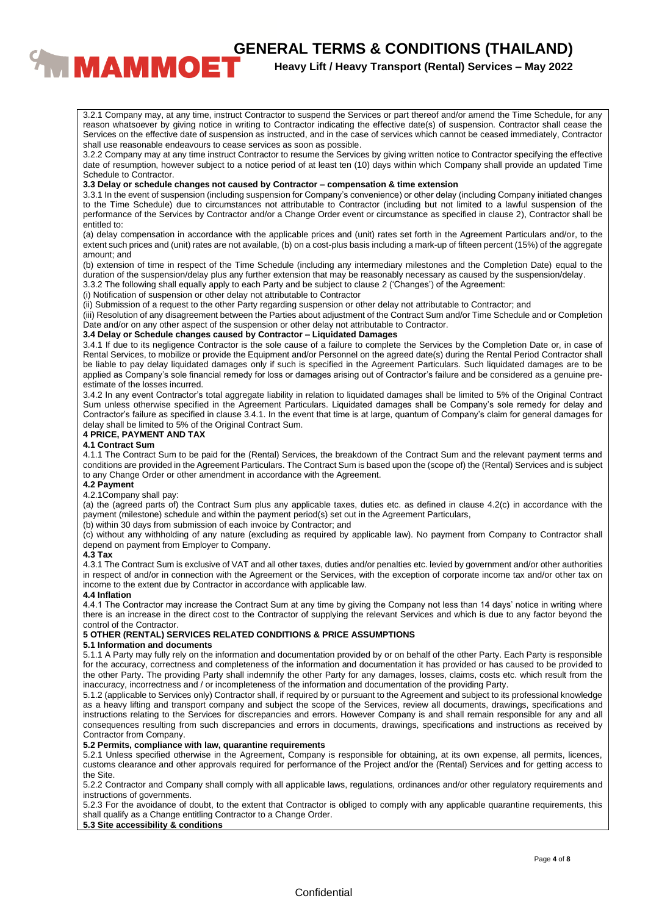# **CENERAL TERMS & CONDITIONS (THAILAND)**<br><sup>Heavy Lift / Heavy Transport (Rental) Services – May 2022</sup>

# **Heavy Lift / Heavy Transport (Rental) Services – May 2022**

3.2.1 Company may, at any time, instruct Contractor to suspend the Services or part thereof and/or amend the Time Schedule, for any reason whatsoever by giving notice in writing to Contractor indicating the effective date(s) of suspension. Contractor shall cease the Services on the effective date of suspension as instructed, and in the case of services which cannot be ceased immediately, Contractor shall use reasonable endeavours to cease services as soon as possible.

3.2.2 Company may at any time instruct Contractor to resume the Services by giving written notice to Contractor specifying the effective date of resumption, however subject to a notice period of at least ten (10) days within which Company shall provide an updated Time Schedule to Contractor.

#### **3.3 Delay or schedule changes not caused by Contractor – compensation & time extension**

3.3.1 In the event of suspension (including suspension for Company's convenience) or other delay (including Company initiated changes to the Time Schedule) due to circumstances not attributable to Contractor (including but not limited to a lawful suspension of the performance of the Services by Contractor and/or a Change Order event or circumstance as specified in clause 2), Contractor shall be entitled to:

(a) delay compensation in accordance with the applicable prices and (unit) rates set forth in the Agreement Particulars and/or, to the extent such prices and (unit) rates are not available, (b) on a cost-plus basis including a mark-up of fifteen percent (15%) of the aggregate amount; and

(b) extension of time in respect of the Time Schedule (including any intermediary milestones and the Completion Date) equal to the duration of the suspension/delay plus any further extension that may be reasonably necessary as caused by the suspension/delay.

3.3.2 The following shall equally apply to each Party and be subject to clause 2 ('Changes') of the Agreement:

(i) Notification of suspension or other delay not attributable to Contractor

(ii) Submission of a request to the other Party regarding suspension or other delay not attributable to Contractor; and

(iii) Resolution of any disagreement between the Parties about adjustment of the Contract Sum and/or Time Schedule and or Completion Date and/or on any other aspect of the suspension or other delay not attributable to Contractor.

#### **3.4 Delay or Schedule changes caused by Contractor – Liquidated Damages**

3.4.1 If due to its negligence Contractor is the sole cause of a failure to complete the Services by the Completion Date or, in case of Rental Services, to mobilize or provide the Equipment and/or Personnel on the agreed date(s) during the Rental Period Contractor shall be liable to pay delay liquidated damages only if such is specified in the Agreement Particulars. Such liquidated damages are to be applied as Company's sole financial remedy for loss or damages arising out of Contractor's failure and be considered as a genuine preestimate of the losses incurred.

3.4.2 In any event Contractor's total aggregate liability in relation to liquidated damages shall be limited to 5% of the Original Contract Sum unless otherwise specified in the Agreement Particulars. Liquidated damages shall be Company's sole remedy for delay and Contractor's failure as specified in clause 3.4.1. In the event that time is at large, quantum of Company's claim for general damages for delay shall be limited to 5% of the Original Contract Sum.

# **4 PRICE, PAYMENT AND TAX**

#### **4.1 Contract Sum**

4.1.1 The Contract Sum to be paid for the (Rental) Services, the breakdown of the Contract Sum and the relevant payment terms and conditions are provided in the Agreement Particulars. The Contract Sum is based upon the (scope of) the (Rental) Services and is subject to any Change Order or other amendment in accordance with the Agreement.

#### **4.2 Payment**

#### 4.2.1Company shall pay:

(a) the (agreed parts of) the Contract Sum plus any applicable taxes, duties etc. as defined in clause 4.2(c) in accordance with the payment (milestone) schedule and within the payment period(s) set out in the Agreement Particulars,

(b) within 30 days from submission of each invoice by Contractor; and

(c) without any withholding of any nature (excluding as required by applicable law). No payment from Company to Contractor shall depend on payment from Employer to Company.

#### **4.3 Tax**

4.3.1 The Contract Sum is exclusive of VAT and all other taxes, duties and/or penalties etc. levied by government and/or other authorities in respect of and/or in connection with the Agreement or the Services, with the exception of corporate income tax and/or other tax on income to the extent due by Contractor in accordance with applicable law.

#### **4.4 Inflation**

4.4.1 The Contractor may increase the Contract Sum at any time by giving the Company not less than 14 days' notice in writing where there is an increase in the direct cost to the Contractor of supplying the relevant Services and which is due to any factor beyond the control of the Contractor.

# **5 OTHER (RENTAL) SERVICES RELATED CONDITIONS & PRICE ASSUMPTIONS**

#### **5.1 Information and documents**

5.1.1 A Party may fully rely on the information and documentation provided by or on behalf of the other Party. Each Party is responsible for the accuracy, correctness and completeness of the information and documentation it has provided or has caused to be provided to the other Party. The providing Party shall indemnify the other Party for any damages, losses, claims, costs etc. which result from the inaccuracy, incorrectness and / or incompleteness of the information and documentation of the providing Party.

5.1.2 (applicable to Services only) Contractor shall, if required by or pursuant to the Agreement and subject to its professional knowledge as a heavy lifting and transport company and subject the scope of the Services, review all documents, drawings, specifications and instructions relating to the Services for discrepancies and errors. However Company is and shall remain responsible for any and all consequences resulting from such discrepancies and errors in documents, drawings, specifications and instructions as received by Contractor from Company.

# **5.2 Permits, compliance with law, quarantine requirements**

5.2.1 Unless specified otherwise in the Agreement, Company is responsible for obtaining, at its own expense, all permits, licences, customs clearance and other approvals required for performance of the Project and/or the (Rental) Services and for getting access to the Site.

5.2.2 Contractor and Company shall comply with all applicable laws, regulations, ordinances and/or other regulatory requirements and instructions of governments.

5.2.3 For the avoidance of doubt, to the extent that Contractor is obliged to comply with any applicable quarantine requirements, this shall qualify as a Change entitling Contractor to a Change Order.

# **5.3 Site accessibility & conditions**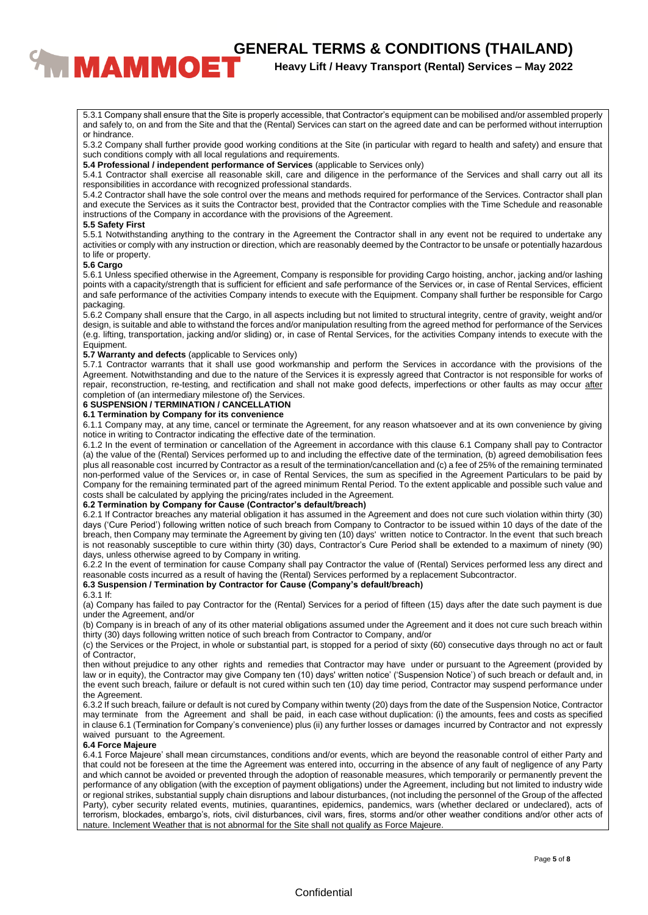# **ENERAL TERMS & CONDITIONS (THAILAND)**<br><sup>Heavy Lift / Heavy Transport (Rental) Services – May 2022</sup>

# **Heavy Lift / Heavy Transport (Rental) Services – May 2022**

5.3.1 Company shall ensure that the Site is properly accessible, that Contractor's equipment can be mobilised and/or assembled properly and safely to, on and from the Site and that the (Rental) Services can start on the agreed date and can be performed without interruption or hindrance.

5.3.2 Company shall further provide good working conditions at the Site (in particular with regard to health and safety) and ensure that such conditions comply with all local regulations and requirements.

**5.4 Professional / independent performance of Services** (applicable to Services only)

5.4.1 Contractor shall exercise all reasonable skill, care and diligence in the performance of the Services and shall carry out all its responsibilities in accordance with recognized professional standards.

5.4.2 Contractor shall have the sole control over the means and methods required for performance of the Services. Contractor shall plan and execute the Services as it suits the Contractor best, provided that the Contractor complies with the Time Schedule and reasonable instructions of the Company in accordance with the provisions of the Agreement.

#### **5.5 Safety First**

5.5.1 Notwithstanding anything to the contrary in the Agreement the Contractor shall in any event not be required to undertake any activities or comply with any instruction or direction, which are reasonably deemed by the Contractor to be unsafe or potentially hazardous to life or property.

#### **5.6 Cargo**

5.6.1 Unless specified otherwise in the Agreement, Company is responsible for providing Cargo hoisting, anchor, jacking and/or lashing points with a capacity/strength that is sufficient for efficient and safe performance of the Services or, in case of Rental Services, efficient and safe performance of the activities Company intends to execute with the Equipment. Company shall further be responsible for Cargo packaging.

5.6.2 Company shall ensure that the Cargo, in all aspects including but not limited to structural integrity, centre of gravity, weight and/or design, is suitable and able to withstand the forces and/or manipulation resulting from the agreed method for performance of the Services (e.g. lifting, transportation, jacking and/or sliding) or, in case of Rental Services, for the activities Company intends to execute with the Equipment.

#### **5.7 Warranty and defects** (applicable to Services only)

5.7.1 Contractor warrants that it shall use good workmanship and perform the Services in accordance with the provisions of the Agreement. Notwithstanding and due to the nature of the Services it is expressly agreed that Contractor is not responsible for works of repair, reconstruction, re-testing, and rectification and shall not make good defects, imperfections or other faults as may occur after completion of (an intermediary milestone of) the Services.

# **6 SUSPENSION / TERMINATION / CANCELLATION**

#### **6.1 Termination by Company for its convenience**

6.1.1 Company may, at any time, cancel or terminate the Agreement, for any reason whatsoever and at its own convenience by giving notice in writing to Contractor indicating the effective date of the termination.

6.1.2 In the event of termination or cancellation of the Agreement in accordance with this clause 6.1 Company shall pay to Contractor (a) the value of the (Rental) Services performed up to and including the effective date of the termination, (b) agreed demobilisation fees plus all reasonable cost incurred by Contractor as a result of the termination/cancellation and (c) a fee of 25% of the remaining terminated non-performed value of the Services or, in case of Rental Services, the sum as specified in the Agreement Particulars to be paid by Company for the remaining terminated part of the agreed minimum Rental Period. To the extent applicable and possible such value and costs shall be calculated by applying the pricing/rates included in the Agreement.

#### **6.2 Termination by Company for Cause (Contractor's default/breach)**

6.2.1 If Contractor breaches any material obligation it has assumed in the Agreement and does not cure such violation within thirty (30) days ('Cure Period') following written notice of such breach from Company to Contractor to be issued within 10 days of the date of the breach, then Company may terminate the Agreement by giving ten (10) days' written notice to Contractor. ln the event that such breach is not reasonably susceptible to cure within thirty (30) days, Contractor's Cure Period shall be extended to a maximum of ninety (90) days, unless otherwise agreed to by Company in writing.

6.2.2 In the event of termination for cause Company shall pay Contractor the value of (Rental) Services performed less any direct and reasonable costs incurred as a result of having the (Rental) Services performed by a replacement Subcontractor.

### **6.3 Suspension / Termination by Contractor for Cause (Company's default/breach)**

#### 6.3.1 If:

(a) Company has failed to pay Contractor for the (Rental) Services for a period of fifteen (15) days after the date such payment is due under the Agreement, and/or

(b) Company is in breach of any of its other material obligations assumed under the Agreement and it does not cure such breach within thirty (30) days following written notice of such breach from Contractor to Company, and/or

(c) the Services or the Project, in whole or substantial part, is stopped for a period of sixty (60) consecutive days through no act or fault of Contractor,

then without prejudice to any other rights and remedies that Contractor may have under or pursuant to the Agreement (provided by law or in equity), the Contractor may give Company ten (10) days' written notice' ('Suspension Notice') of such breach or default and, in the event such breach, failure or default is not cured within such ten (10) day time period, Contractor may suspend performance under the Agreement.

6.3.2 If such breach, failure or default is not cured by Company within twenty (20) days from the date of the Suspension Notice, Contractor may terminate from the Agreement and shall be paid, in each case without duplication: (i) the amounts, fees and costs as specified in clause 6.1 (Termination for Company's convenience) plus (ii) any further losses or damages incurred by Contractor and not expressly waived pursuant to the Agreement.

# **6.4 Force Majeure**

6.4.1 Force Majeure' shall mean circumstances, conditions and/or events, which are beyond the reasonable control of either Party and that could not be foreseen at the time the Agreement was entered into, occurring in the absence of any fault of negligence of any Party and which cannot be avoided or prevented through the adoption of reasonable measures, which temporarily or permanently prevent the performance of any obligation (with the exception of payment obligations) under the Agreement, including but not limited to industry wide or regional strikes, substantial supply chain disruptions and labour disturbances, (not including the personnel of the Group of the affected Party), cyber security related events, mutinies, quarantines, epidemics, pandemics, wars (whether declared or undeclared), acts of terrorism, blockades, embargo's, riots, civil disturbances, civil wars, fires, storms and/or other weather conditions and/or other acts of nature. Inclement Weather that is not abnormal for the Site shall not qualify as Force Majeure.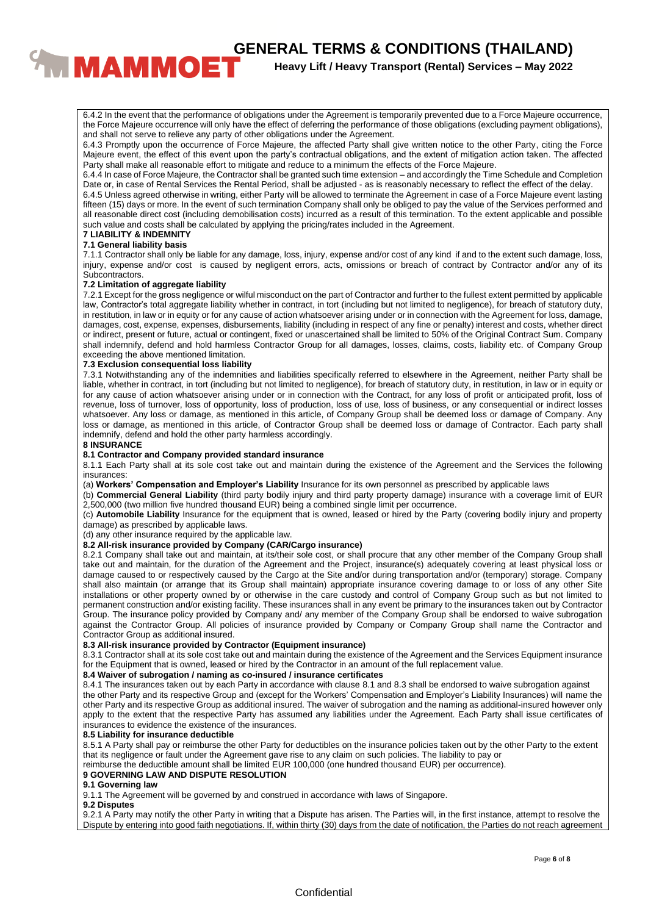**CENERAL TERMS & CONDITIONS (THAILAND)**<br><sup>Heavy Lift / Heavy Transport (Rental) Services – May 2022</sup>

# **Heavy Lift / Heavy Transport (Rental) Services – May 2022**

6.4.2 In the event that the performance of obligations under the Agreement is temporarily prevented due to a Force Majeure occurrence, the Force Majeure occurrence will only have the effect of deferring the performance of those obligations (excluding payment obligations), and shall not serve to relieve any party of other obligations under the Agreement.

6.4.3 Promptly upon the occurrence of Force Majeure, the affected Party shall give written notice to the other Party, citing the Force Majeure event, the effect of this event upon the party's contractual obligations, and the extent of mitigation action taken. The affected Party shall make all reasonable effort to mitigate and reduce to a minimum the effects of the Force Majeure.

6.4.4 In case of Force Majeure, the Contractor shall be granted such time extension – and accordingly the Time Schedule and Completion Date or, in case of Rental Services the Rental Period, shall be adjusted - as is reasonably necessary to reflect the effect of the delay.

6.4.5 Unless agreed otherwise in writing, either Party will be allowed to terminate the Agreement in case of a Force Majeure event lasting fifteen (15) days or more. In the event of such termination Company shall only be obliged to pay the value of the Services performed and all reasonable direct cost (including demobilisation costs) incurred as a result of this termination. To the extent applicable and possible such value and costs shall be calculated by applying the pricing/rates included in the Agreement.

#### **7 LIABILITY & INDEMNITY 7.1 General liability basis**

7.1.1 Contractor shall only be liable for any damage, loss, injury, expense and/or cost of any kind if and to the extent such damage, loss, injury, expense and/or cost is caused by negligent errors, acts, omissions or breach of contract by Contractor and/or any of its Subcontractors.

#### **7.2 Limitation of aggregate liability**

7.2.1 Except for the gross negligence or wilful misconduct on the part of Contractor and further to the fullest extent permitted by applicable law, Contractor's total aggregate liability whether in contract, in tort (including but not limited to negligence), for breach of statutory duty, in restitution, in law or in equity or for any cause of action whatsoever arising under or in connection with the Agreement for loss, damage, damages, cost, expense, expenses, disbursements, liability (including in respect of any fine or penalty) interest and costs, whether direct or indirect, present or future, actual or contingent, fixed or unascertained shall be limited to 50% of the Original Contract Sum. Company shall indemnify, defend and hold harmless Contractor Group for all damages, losses, claims, costs, liability etc. of Company Group exceeding the above mentioned limitation.

#### **7.3 Exclusion consequential loss liability**

7.3.1 Notwithstanding any of the indemnities and liabilities specifically referred to elsewhere in the Agreement, neither Party shall be liable, whether in contract, in tort (including but not limited to negligence), for breach of statutory duty, in restitution, in law or in equity or for any cause of action whatsoever arising under or in connection with the Contract, for any loss of profit or anticipated profit, loss of revenue, loss of turnover, loss of opportunity, loss of production, loss of use, loss of business, or any consequential or indirect losses whatsoever. Any loss or damage, as mentioned in this article, of Company Group shall be deemed loss or damage of Company. Any loss or damage, as mentioned in this article, of Contractor Group shall be deemed loss or damage of Contractor. Each party shall indemnify, defend and hold the other party harmless accordingly.

### **8 INSURANCE**

#### **8.1 Contractor and Company provided standard insurance**

8.1.1 Each Party shall at its sole cost take out and maintain during the existence of the Agreement and the Services the following insurances:

(a) **Workers' Compensation and Employer's Liability** Insurance for its own personnel as prescribed by applicable laws

(b) **Commercial General Liability** (third party bodily injury and third party property damage) insurance with a coverage limit of EUR 2,500,000 (two million five hundred thousand EUR) being a combined single limit per occurrence.

(c) **Automobile Liability** Insurance for the equipment that is owned, leased or hired by the Party (covering bodily injury and property damage) as prescribed by applicable laws.

(d) any other insurance required by the applicable law.

#### **8.2 All-risk insurance provided by Company (CAR/Cargo insurance)**

8.2.1 Company shall take out and maintain, at its/their sole cost, or shall procure that any other member of the Company Group shall take out and maintain, for the duration of the Agreement and the Project, insurance(s) adequately covering at least physical loss or damage caused to or respectively caused by the Cargo at the Site and/or during transportation and/or (temporary) storage. Company shall also maintain (or arrange that its Group shall maintain) appropriate insurance covering damage to or loss of any other Site installations or other property owned by or otherwise in the care custody and control of Company Group such as but not limited to permanent construction and/or existing facility. These insurances shall in any event be primary to the insurances taken out by Contractor Group. The insurance policy provided by Company and/ any member of the Company Group shall be endorsed to waive subrogation against the Contractor Group. All policies of insurance provided by Company or Company Group shall name the Contractor and Contractor Group as additional insured.

# **8.3 All-risk insurance provided by Contractor (Equipment insurance)**

8.3.1 Contractor shall at its sole cost take out and maintain during the existence of the Agreement and the Services Equipment insurance for the Equipment that is owned, leased or hired by the Contractor in an amount of the full replacement value.

#### **8.4 Waiver of subrogation / naming as co-insured / insurance certificates**

8.4.1 The insurances taken out by each Party in accordance with clause 8.1 and 8.3 shall be endorsed to waive subrogation against the other Party and its respective Group and (except for the Workers' Compensation and Employer's Liability Insurances) will name the other Party and its respective Group as additional insured. The waiver of subrogation and the naming as additional-insured however only apply to the extent that the respective Party has assumed any liabilities under the Agreement. Each Party shall issue certificates of insurances to evidence the existence of the insurances.

#### **8.5 Liability for insurance deductible**

8.5.1 A Party shall pay or reimburse the other Party for deductibles on the insurance policies taken out by the other Party to the extent that its negligence or fault under the Agreement gave rise to any claim on such policies. The liability to pay or

reimburse the deductible amount shall be limited EUR 100,000 (one hundred thousand EUR) per occurrence).

### **9 GOVERNING LAW AND DISPUTE RESOLUTION**

#### **9.1 Governing law**

9.1.1 The Agreement will be governed by and construed in accordance with laws of Singapore.

#### **9.2 Disputes**

9.2.1 A Party may notify the other Party in writing that a Dispute has arisen. The Parties will, in the first instance, attempt to resolve the Dispute by entering into good faith negotiations. If, within thirty (30) days from the date of notification, the Parties do not reach agreement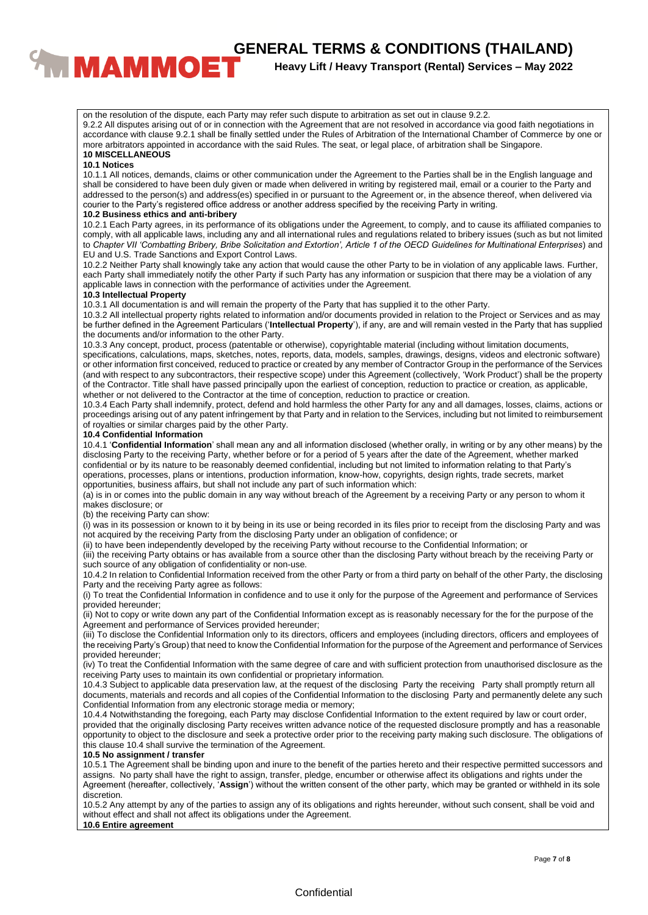# **CENERAL TERMS & CONDITIONS (THAILAND)**<br>**Figure 11 Heavy Lift / Heavy Transport (Rental) Services – May 2022**

**Heavy Lift / Heavy Transport (Rental) Services – May 2022**

on the resolution of the dispute, each Party may refer such dispute to arbitration as set out in clause 9.2.2. 9.2.2 All disputes arising out of or in connection with the Agreement that are not resolved in accordance via good faith negotiations in accordance with clause 9.2.1 shall be finally settled under the Rules of Arbitration of the International Chamber of Commerce by one or more arbitrators appointed in accordance with the said Rules. The seat, or legal place, of arbitration shall be Singapore.

#### **10 MISCELLANEOUS**

#### **10.1 Notices**

10.1.1 All notices, demands, claims or other communication under the Agreement to the Parties shall be in the English language and shall be considered to have been duly given or made when delivered in writing by registered mail, email or a courier to the Party and addressed to the person(s) and address(es) specified in or pursuant to the Agreement or, in the absence thereof, when delivered via courier to the Party's registered office address or another address specified by the receiving Party in writing.

#### **10.2 Business ethics and anti-bribery**

10.2.1 Each Party agrees, in its performance of its obligations under the Agreement, to comply, and to cause its affiliated companies to comply, with all applicable laws, including any and all international rules and regulations related to bribery issues (such as but not limited to *Chapter VII 'Combatting Bribery, Bribe Solicitation and Extortion', Article 1 of the OECD Guidelines for Multinational Enterprises*) and EU and U.S. Trade Sanctions and Export Control Laws.

10.2.2 Neither Party shall knowingly take any action that would cause the other Party to be in violation of any applicable laws. Further, each Party shall immediately notify the other Party if such Party has any information or suspicion that there may be a violation of any applicable laws in connection with the performance of activities under the Agreement.

#### **10.3 Intellectual Property**

10.3.1 All documentation is and will remain the property of the Party that has supplied it to the other Party.

10.3.2 All intellectual property rights related to information and/or documents provided in relation to the Project or Services and as may be further defined in the Agreement Particulars ('**Intellectual Property**'), if any, are and will remain vested in the Party that has supplied the documents and/or information to the other Party.

10.3.3 Any concept, product, process (patentable or otherwise), copyrightable material (including without limitation documents, specifications, calculations, maps, sketches, notes, reports, data, models, samples, drawings, designs, videos and electronic software) or other information first conceived, reduced to practice or created by any member of Contractor Group in the performance of the Services (and with respect to any subcontractors, their respective scope) under this Agreement (collectively, 'Work Product') shall be the property of the Contractor. Title shall have passed principally upon the earliest of conception, reduction to practice or creation, as applicable, whether or not delivered to the Contractor at the time of conception, reduction to practice or creation.

10.3.4 Each Party shall indemnify, protect, defend and hold harmless the other Party for any and all damages, losses, claims, actions or proceedings arising out of any patent infringement by that Party and in relation to the Services, including but not limited to reimbursement of royalties or similar charges paid by the other Party.

#### **10.4 Confidential Information**

10.4.1 '**Confidential Information**' shall mean any and all information disclosed (whether orally, in writing or by any other means) by the disclosing Party to the receiving Party, whether before or for a period of 5 years after the date of the Agreement, whether marked confidential or by its nature to be reasonably deemed confidential, including but not limited to information relating to that Party's operations, processes, plans or intentions, production information, know-how, copyrights, design rights, trade secrets, market opportunities, business affairs, but shall not include any part of such information which:

(a) is in or comes into the public domain in any way without breach of the Agreement by a receiving Party or any person to whom it makes disclosure; or

(b) the receiving Party can show:

(i) was in its possession or known to it by being in its use or being recorded in its files prior to receipt from the disclosing Party and was not acquired by the receiving Party from the disclosing Party under an obligation of confidence; or

(ii) to have been independently developed by the receiving Party without recourse to the Confidential Information; or

(iii) the receiving Party obtains or has available from a source other than the disclosing Party without breach by the receiving Party or such source of any obligation of confidentiality or non-use.

10.4.2 In relation to Confidential Information received from the other Party or from a third party on behalf of the other Party, the disclosing Party and the receiving Party agree as follows:

(i) To treat the Confidential Information in confidence and to use it only for the purpose of the Agreement and performance of Services provided hereunder;

(ii) Not to copy or write down any part of the Confidential Information except as is reasonably necessary for the for the purpose of the Agreement and performance of Services provided hereunder;

(iii) To disclose the Confidential Information only to its directors, officers and employees (including directors, officers and employees of the receiving Party's Group) that need to know the Confidential Information for the purpose of the Agreement and performance of Services provided hereunder;

(iv) To treat the Confidential Information with the same degree of care and with sufficient protection from unauthorised disclosure as the receiving Party uses to maintain its own confidential or proprietary information.

10.4.3 Subject to applicable data preservation law, at the request of the disclosing Party the receiving Party shall promptly return all documents, materials and records and all copies of the Confidential Information to the disclosing Party and permanently delete any such Confidential Information from any electronic storage media or memory;

10.4.4 Notwithstanding the foregoing, each Party may disclose Confidential Information to the extent required by law or court order, provided that the originally disclosing Party receives written advance notice of the requested disclosure promptly and has a reasonable opportunity to object to the disclosure and seek a protective order prior to the receiving party making such disclosure. The obligations of this clause 10.4 shall survive the termination of the Agreement.

#### **10.5 No assignment / transfer**

10.5.1 The Agreement shall be binding upon and inure to the benefit of the parties hereto and their respective permitted successors and assigns. No party shall have the right to assign, transfer, pledge, encumber or otherwise affect its obligations and rights under the Agreement (hereafter, collectively, '**Assign**') without the written consent of the other party, which may be granted or withheld in its sole discretion.

10.5.2 Any attempt by any of the parties to assign any of its obligations and rights hereunder, without such consent, shall be void and without effect and shall not affect its obligations under the Agreement.

### **10.6 Entire agreement**